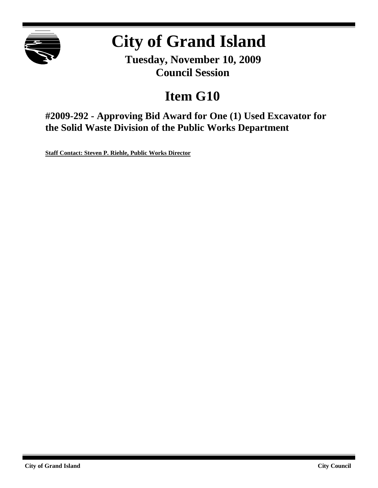

# **City of Grand Island**

**Tuesday, November 10, 2009 Council Session**

## **Item G10**

**#2009-292 - Approving Bid Award for One (1) Used Excavator for the Solid Waste Division of the Public Works Department**

**Staff Contact: Steven P. Riehle, Public Works Director**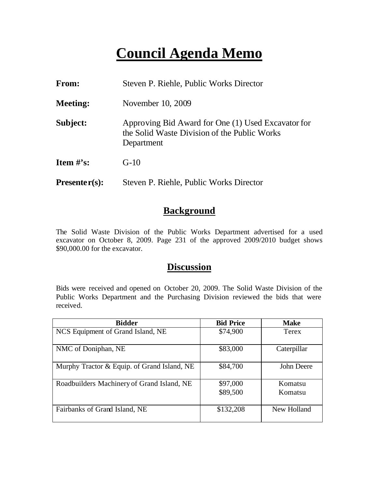## **Council Agenda Memo**

| <b>From:</b>    | Steven P. Riehle, Public Works Director                                                                          |
|-----------------|------------------------------------------------------------------------------------------------------------------|
| <b>Meeting:</b> | November 10, 2009                                                                                                |
| Subject:        | Approving Bid Award for One (1) Used Excavator for<br>the Solid Waste Division of the Public Works<br>Department |
| Item $\#$ 's:   | $G-10$                                                                                                           |
| $Presenter(s):$ | Steven P. Riehle, Public Works Director                                                                          |

#### **Background**

The Solid Waste Division of the Public Works Department advertised for a used excavator on October 8, 2009. Page 231 of the approved 2009/2010 budget shows \$90,000.00 for the excavator.

## **Discussion**

Bids were received and opened on October 20, 2009. The Solid Waste Division of the Public Works Department and the Purchasing Division reviewed the bids that were received.

| <b>Bidder</b>                               | <b>Bid Price</b> | <b>Make</b>  |
|---------------------------------------------|------------------|--------------|
| NCS Equipment of Grand Island, NE           | \$74,900         | <b>Terex</b> |
| NMC of Doniphan, NE                         | \$83,000         | Caterpillar  |
| Murphy Tractor & Equip. of Grand Island, NE | \$84,700         | John Deere   |
| Roadbuilders Machinery of Grand Island, NE  | \$97,000         | Komatsu      |
|                                             | \$89,500         | Komatsu      |
| Fairbanks of Grand Island, NE               | \$132,208        | New Holland  |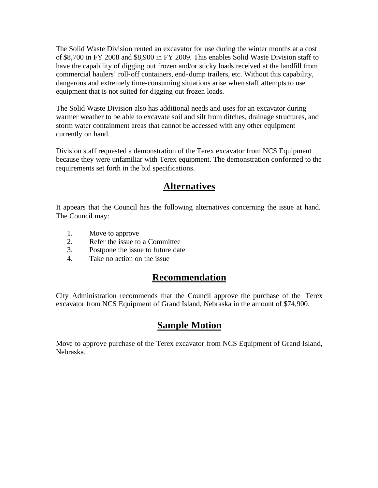The Solid Waste Division rented an excavator for use during the winter months at a cost of \$8,700 in FY 2008 and \$8,900 in FY 2009. This enables Solid Waste Division staff to have the capability of digging out frozen and/or sticky loads received at the landfill from commercial haulers' roll-off containers, end-dump trailers, etc. Without this capability, dangerous and extremely time-consuming situations arise when staff attempts to use equipment that is not suited for digging out frozen loads.

The Solid Waste Division also has additional needs and uses for an excavator during warmer weather to be able to excavate soil and silt from ditches, drainage structures, and storm water containment areas that cannot be accessed with any other equipment currently on hand.

Division staff requested a demonstration of the Terex excavator from NCS Equipment because they were unfamiliar with Terex equipment. The demonstration conformed to the requirements set forth in the bid specifications.

### **Alternatives**

It appears that the Council has the following alternatives concerning the issue at hand. The Council may:

- 1. Move to approve
- 2. Refer the issue to a Committee
- 3. Postpone the issue to future date
- 4. Take no action on the issue

### **Recommendation**

City Administration recommends that the Council approve the purchase of the Terex excavator from NCS Equipment of Grand Island, Nebraska in the amount of \$74,900.

### **Sample Motion**

Move to approve purchase of the Terex excavator from NCS Equipment of Grand Island, Nebraska.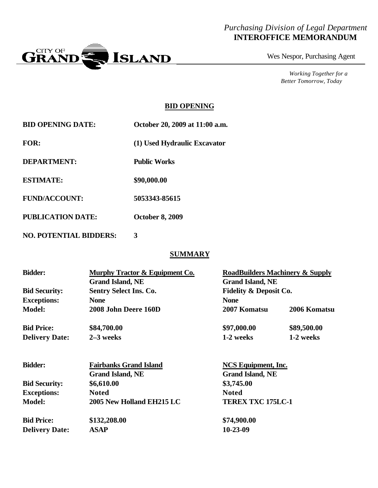#### *Purchasing Division of Legal Department* **INTEROFFICE MEMORANDUM**



Wes Nespor, Purchasing Agent

*Working Together for a Better Tomorrow, Today*

#### **BID OPENING**

| <b>BID OPENING DATE:</b> | October 20, 2009 at 11:00 a.m. |
|--------------------------|--------------------------------|
| <b>FOR:</b>              | (1) Used Hydraulic Excavator   |
| DEPARTMENT:              | <b>Public Works</b>            |
| <b>ESTIMATE:</b>         | \$90,000.00                    |
| <b>FUND/ACCOUNT:</b>     | 5053343-85615                  |
| <b>PUBLICATION DATE:</b> | <b>October 8, 2009</b>         |
|                          |                                |

**NO. POTENTIAL BIDDERS: 3**

#### **SUMMARY**

| <b>Bidder:</b><br><b>Bid Security:</b><br><b>Exceptions:</b> | Murphy Tractor & Equipment Co.<br><b>Grand Island, NE</b><br><b>Sentry Select Ins. Co.</b><br><b>None</b> | <b>RoadBuilders Machinery &amp; Supply</b><br><b>Grand Island, NE</b><br><b>Fidelity &amp; Deposit Co.</b><br><b>None</b> |                          |
|--------------------------------------------------------------|-----------------------------------------------------------------------------------------------------------|---------------------------------------------------------------------------------------------------------------------------|--------------------------|
| <b>Model:</b>                                                | 2008 John Deere 160D                                                                                      | 2007 Komatsu                                                                                                              | 2006 Komatsu             |
| <b>Bid Price:</b><br><b>Delivery Date:</b>                   | \$84,700.00<br>$2-3$ weeks                                                                                | \$97,000.00<br>1-2 weeks                                                                                                  | \$89,500.00<br>1-2 weeks |
| <b>Bidder:</b>                                               | <b>Fairbanks Grand Island</b><br><b>Grand Island, NE</b>                                                  | NCS Equipment, Inc.<br><b>Grand Island, NE</b>                                                                            |                          |
| <b>Bid Security:</b>                                         | \$6,610.00                                                                                                | \$3,745.00                                                                                                                |                          |
| <b>Exceptions:</b>                                           | <b>Noted</b>                                                                                              | <b>Noted</b>                                                                                                              |                          |
| <b>Model:</b>                                                | 2005 New Holland EH215 LC                                                                                 | <b>TEREX TXC 175LC-1</b>                                                                                                  |                          |
| <b>Bid Price:</b>                                            | \$132,208.00                                                                                              | \$74,900.00                                                                                                               |                          |
| <b>Delivery Date:</b>                                        | <b>ASAP</b>                                                                                               | 10-23-09                                                                                                                  |                          |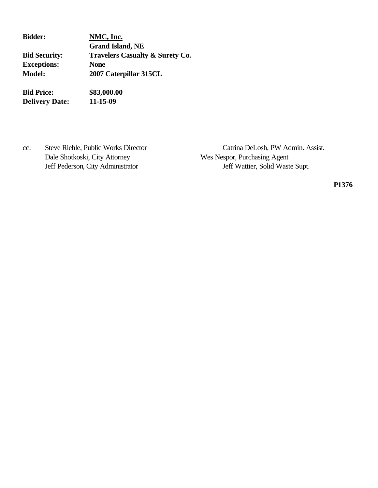| <b>Bidder:</b>       | NMC, Inc.                                  |  |
|----------------------|--------------------------------------------|--|
|                      | <b>Grand Island, NE</b>                    |  |
| <b>Bid Security:</b> | <b>Travelers Casualty &amp; Surety Co.</b> |  |
| <b>Exceptions:</b>   | <b>None</b>                                |  |
| <b>Model:</b>        | 2007 Caterpillar 315CL                     |  |
| <b>Bid Price:</b>    | \$83,000.00                                |  |

**Delivery Date: 11-15-09**

Dale Shotkoski, City Attorney Wes Nespor, Purchasing Agent

cc: Steve Riehle, Public Works Director Catrina DeLosh, PW Admin. Assist. Jeff Pederson, City Administrator Jeff Wattier, Solid Waste Supt.

**P1376**